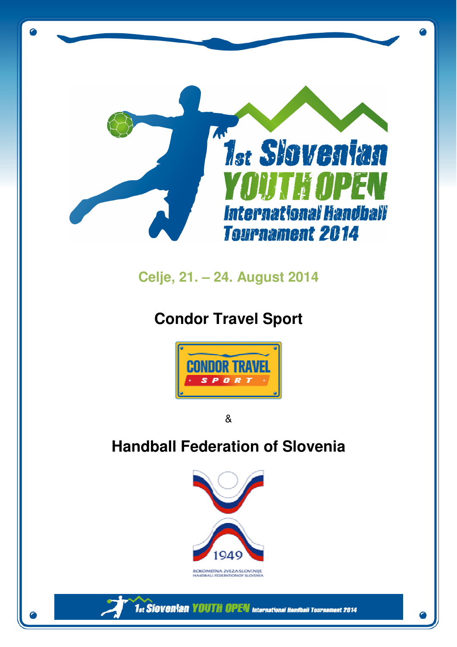

## **Celje, 21. – 24. August 2014**

# **Condor Travel Sport**



&

# **Handball Federation of Slovenia**

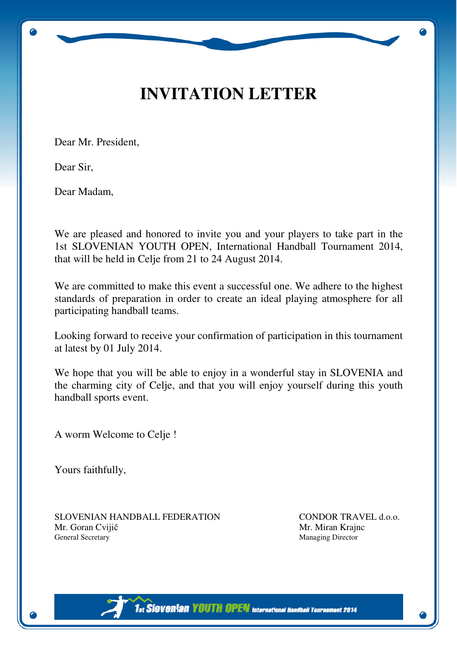## **INVITATION LETTER**

Dear Mr. President,

Dear Sir,

Dear Madam,

We are pleased and honored to invite you and your players to take part in the 1st SLOVENIAN YOUTH OPEN, International Handball Tournament 2014, that will be held in Celje from 21 to 24 August 2014.

We are committed to make this event a successful one. We adhere to the highest standards of preparation in order to create an ideal playing atmosphere for all participating handball teams.

Looking forward to receive your confirmation of participation in this tournament at latest by 01 July 2014.

We hope that you will be able to enjoy in a wonderful stay in SLOVENIA and the charming city of Celje, and that you will enjoy yourself during this youth handball sports event.

A worm Welcome to Celje !

Yours faithfully,

SLOVENIAN HANDBALL FEDERATION CONDOR TRAVEL d.o.o. Mr. Goran Cvijič Mr. Miran Krajnc General Secretary Managing Director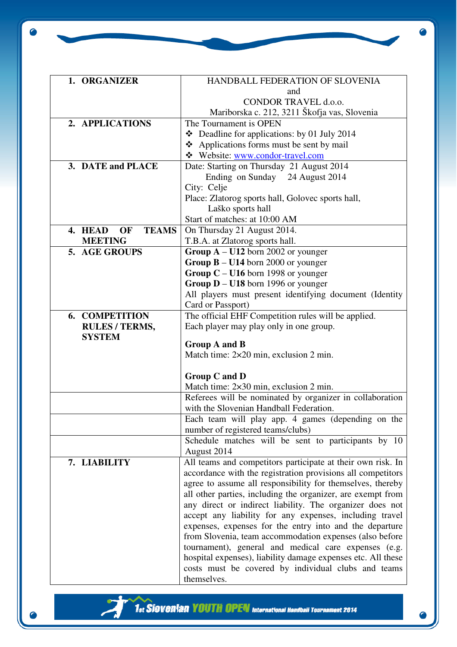Ō

| 1. ORGANIZER                  | HANDBALL FEDERATION OF SLOVENIA                              |
|-------------------------------|--------------------------------------------------------------|
|                               | and                                                          |
|                               | CONDOR TRAVEL d.o.o.                                         |
|                               | Mariborska c. 212, 3211 Škofja vas, Slovenia                 |
| 2. APPLICATIONS               | The Tournament is OPEN                                       |
|                               | $\div$ Deadline for applications: by 01 July 2014            |
|                               | ❖ Applications forms must be sent by mail                    |
|                               | Website: www.condor-travel.com                               |
| 3. DATE and PLACE             | Date: Starting on Thursday 21 August 2014                    |
|                               | Ending on Sunday 24 August 2014                              |
|                               | City: Celje                                                  |
|                               | Place: Zlatorog sports hall, Golovec sports hall,            |
|                               | Laško sports hall                                            |
|                               | Start of matches: at 10:00 AM                                |
| <b>TEAMS</b><br>4. HEAD<br>OF | On Thursday 21 August 2014.                                  |
| <b>MEETING</b>                | T.B.A. at Zlatorog sports hall.                              |
| 5. AGE GROUPS                 | Group $A - U12$ born 2002 or younger                         |
|                               | Group $B - U14$ born 2000 or younger                         |
|                               | Group $C - U16$ born 1998 or younger                         |
|                               | Group $D - U18$ born 1996 or younger                         |
|                               | All players must present identifying document (Identity      |
|                               | Card or Passport)                                            |
| <b>6. COMPETITION</b>         | The official EHF Competition rules will be applied.          |
| <b>RULES / TERMS,</b>         | Each player may play only in one group.                      |
| <b>SYSTEM</b>                 |                                                              |
|                               | Group A and B                                                |
|                               | Match time: $2 \times 20$ min, exclusion 2 min.              |
|                               |                                                              |
|                               | Group C and D                                                |
|                               | Match time: 2×30 min, exclusion 2 min.                       |
|                               | Referees will be nominated by organizer in collaboration     |
|                               | with the Slovenian Handball Federation.                      |
|                               | Each team will play app. 4 games (depending on the           |
|                               | number of registered teams/clubs)                            |
|                               | Schedule matches will be sent to participants by 10          |
|                               | August 2014                                                  |
| 7. LIABILITY                  | All teams and competitors participate at their own risk. In  |
|                               | accordance with the registration provisions all competitors  |
|                               | agree to assume all responsibility for themselves, thereby   |
|                               | all other parties, including the organizer, are exempt from  |
|                               | any direct or indirect liability. The organizer does not     |
|                               | accept any liability for any expenses, including travel      |
|                               | expenses, expenses for the entry into and the departure      |
|                               | from Slovenia, team accommodation expenses (also before      |
|                               | tournament), general and medical care expenses (e.g.         |
|                               | hospital expenses), liability damage expenses etc. All these |
|                               | costs must be covered by individual clubs and teams          |
|                               | themselves.                                                  |

╭

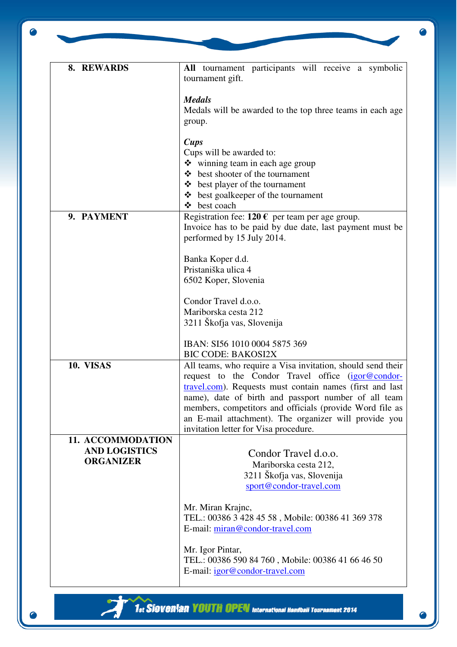Ō

| 8. REWARDS                                                    | All tournament participants will receive a symbolic<br>tournament gift.                                                                                                                                                                                                                                                                                                                            |  |  |  |
|---------------------------------------------------------------|----------------------------------------------------------------------------------------------------------------------------------------------------------------------------------------------------------------------------------------------------------------------------------------------------------------------------------------------------------------------------------------------------|--|--|--|
|                                                               | <b>Medals</b><br>Medals will be awarded to the top three teams in each age.<br>group.                                                                                                                                                                                                                                                                                                              |  |  |  |
|                                                               | <b>Cups</b><br>Cups will be awarded to:<br>$\mathbf{\hat{*}}$ winning team in each age group<br>best shooter of the tournament<br>$\bullet$ best player of the tournament<br>$\triangle$ best goalkeeper of the tournament                                                                                                                                                                         |  |  |  |
| 9. PAYMENT                                                    | ❖ best coach<br>Registration fee: $120 \text{ }\epsilon$ per team per age group.<br>Invoice has to be paid by due date, last payment must be<br>performed by 15 July 2014.                                                                                                                                                                                                                         |  |  |  |
|                                                               | Banka Koper d.d.<br>Pristaniška ulica 4<br>6502 Koper, Slovenia                                                                                                                                                                                                                                                                                                                                    |  |  |  |
|                                                               | Condor Travel d.o.o.<br>Mariborska cesta 212<br>3211 Škofja vas, Slovenija                                                                                                                                                                                                                                                                                                                         |  |  |  |
|                                                               | IBAN: SI56 1010 0004 5875 369<br><b>BIC CODE: BAKOSI2X</b>                                                                                                                                                                                                                                                                                                                                         |  |  |  |
| 10. VISAS                                                     | All teams, who require a Visa invitation, should send their<br>request to the Condor Travel office (igor@condor-<br>travel.com). Requests must contain names (first and last<br>name), date of birth and passport number of all team<br>members, competitors and officials (provide Word file as<br>an E-mail attachment). The organizer will provide you<br>invitation letter for Visa procedure. |  |  |  |
| 11. ACCOMMODATION<br><b>AND LOGISTICS</b><br><b>ORGANIZER</b> | Condor Travel d.o.o.<br>Mariborska cesta 212,<br>3211 Škofja vas, Slovenija<br>sport@condor-travel.com                                                                                                                                                                                                                                                                                             |  |  |  |
|                                                               | Mr. Miran Krajnc,<br>TEL.: 00386 3 428 45 58, Mobile: 00386 41 369 378<br>E-mail: miran@condor-travel.com                                                                                                                                                                                                                                                                                          |  |  |  |
|                                                               | Mr. Igor Pintar,<br>TEL.: 00386 590 84 760, Mobile: 00386 41 66 46 50<br>E-mail: igor@condor-travel.com                                                                                                                                                                                                                                                                                            |  |  |  |

╭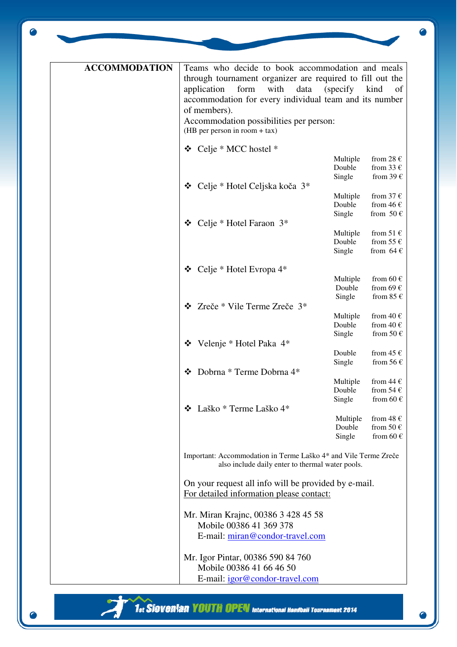| <b>ACCOMMODATION</b> | Teams who decide to book accommodation and meals<br>through tournament organizer are required to fill out the<br>with<br>application<br>form<br>data<br>accommodation for every individual team and its number<br>of members).<br>Accommodation possibilities per person:<br>(HB per person in room $+$ tax) | (specify)                    | kind<br>of                                                     |
|----------------------|--------------------------------------------------------------------------------------------------------------------------------------------------------------------------------------------------------------------------------------------------------------------------------------------------------------|------------------------------|----------------------------------------------------------------|
|                      |                                                                                                                                                                                                                                                                                                              |                              |                                                                |
|                      | Celje * MCC hostel *<br>❖<br>Celje * Hotel Celjska koča 3*<br>❖                                                                                                                                                                                                                                              | Multiple<br>Double<br>Single | from 28 $\epsilon$<br>from 33 $\epsilon$<br>from 39 $\epsilon$ |
|                      |                                                                                                                                                                                                                                                                                                              | Multiple<br>Double<br>Single | from 37 $\epsilon$<br>from 46 $\epsilon$<br>from 50 $\in$      |
|                      | Celje * Hotel Faraon 3*<br>❖                                                                                                                                                                                                                                                                                 |                              |                                                                |
|                      |                                                                                                                                                                                                                                                                                                              | Multiple<br>Double<br>Single | from 51 $\epsilon$<br>from 55 $\epsilon$<br>from $64 \in$      |
|                      |                                                                                                                                                                                                                                                                                                              |                              |                                                                |
|                      | Celje * Hotel Evropa 4*<br>❖                                                                                                                                                                                                                                                                                 |                              |                                                                |
|                      |                                                                                                                                                                                                                                                                                                              | Multiple                     | from 60 $\epsilon$<br>from 69 $\in$                            |
|                      |                                                                                                                                                                                                                                                                                                              | Double<br>Single             | from 85 $\in$                                                  |
|                      | Zreče * Vile Terme Zreče 3*<br>❖                                                                                                                                                                                                                                                                             |                              |                                                                |
|                      |                                                                                                                                                                                                                                                                                                              | Multiple                     | from 40 $\epsilon$                                             |
|                      |                                                                                                                                                                                                                                                                                                              | Double                       | from 40 $\in$                                                  |
|                      |                                                                                                                                                                                                                                                                                                              | Single                       | from 50 $\in$                                                  |
|                      | Velenje * Hotel Paka 4*<br>❖                                                                                                                                                                                                                                                                                 |                              |                                                                |
|                      |                                                                                                                                                                                                                                                                                                              | Double                       | from 45 $\epsilon$                                             |
|                      | Dobrna * Terme Dobrna 4*<br>❖                                                                                                                                                                                                                                                                                | Single                       | from 56 $\epsilon$                                             |
|                      |                                                                                                                                                                                                                                                                                                              | Multiple                     | from 44 $\epsilon$                                             |
|                      |                                                                                                                                                                                                                                                                                                              | Double                       | from 54 $\in$                                                  |
|                      |                                                                                                                                                                                                                                                                                                              | Single                       | from 60 $\epsilon$                                             |
|                      | ❖ Laško * Terme Laško 4*                                                                                                                                                                                                                                                                                     |                              |                                                                |
|                      |                                                                                                                                                                                                                                                                                                              | Multiple                     | from 48 $\epsilon$                                             |
|                      |                                                                                                                                                                                                                                                                                                              | Double                       | from 50 $\in$                                                  |
|                      |                                                                                                                                                                                                                                                                                                              | Single                       | from 60 $\in$                                                  |
|                      | Important: Accommodation in Terme Laško 4* and Vile Terme Zreče<br>also include daily enter to thermal water pools.                                                                                                                                                                                          |                              |                                                                |
|                      | On your request all info will be provided by e-mail.<br>For detailed information please contact:                                                                                                                                                                                                             |                              |                                                                |
|                      | Mr. Miran Krajnc, 00386 3 428 45 58<br>Mobile 00386 41 369 378                                                                                                                                                                                                                                               |                              |                                                                |
|                      | E-mail: miran@condor-travel.com                                                                                                                                                                                                                                                                              |                              |                                                                |
|                      |                                                                                                                                                                                                                                                                                                              |                              |                                                                |
|                      | Mr. Igor Pintar, 00386 590 84 760                                                                                                                                                                                                                                                                            |                              |                                                                |
|                      | Mobile 00386 41 66 46 50                                                                                                                                                                                                                                                                                     |                              |                                                                |
|                      | E-mail: igor@condor-travel.com                                                                                                                                                                                                                                                                               |                              |                                                                |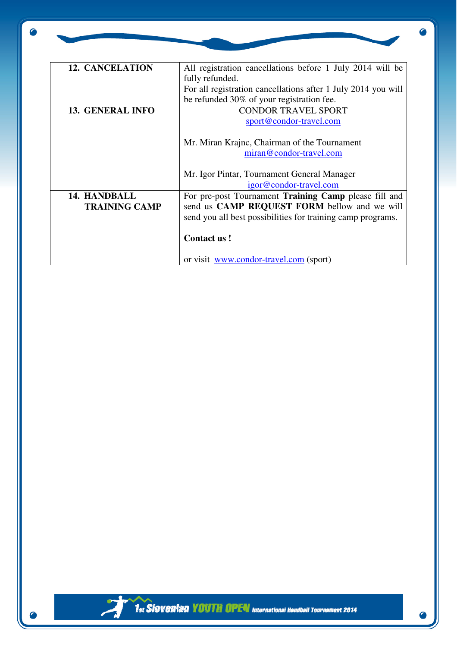$\bullet$ 

| <b>12. CANCELATION</b>  | All registration cancellations before 1 July 2014 will be     |
|-------------------------|---------------------------------------------------------------|
|                         | fully refunded.                                               |
|                         | For all registration cancellations after 1 July 2014 you will |
|                         | be refunded 30% of your registration fee.                     |
| <b>13. GENERAL INFO</b> | <b>CONDOR TRAVEL SPORT</b>                                    |
|                         | sport@condor-travel.com                                       |
|                         | Mr. Miran Krajnc, Chairman of the Tournament                  |
|                         | miran@condor-travel.com                                       |
|                         | Mr. Igor Pintar, Tournament General Manager                   |
|                         | igor@condor-travel.com                                        |
| 14. HANDBALL            | For pre-post Tournament Training Camp please fill and         |
| <b>TRAINING CAMP</b>    | send us CAMP REQUEST FORM bellow and we will                  |
|                         | send you all best possibilities for training camp programs.   |
|                         |                                                               |
|                         | <b>Contact us!</b>                                            |
|                         |                                                               |
|                         | or visit <u>www.condor-travel.com</u> (sport)                 |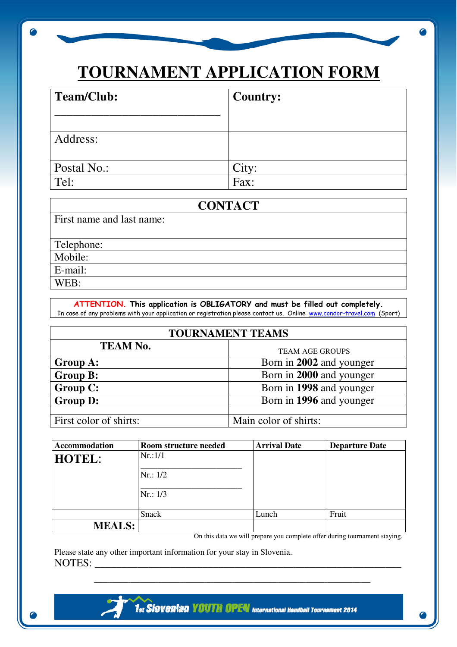# **TOURNAMENT APPLICATION FORM**

| Team/Club:  | <b>Country:</b> |
|-------------|-----------------|
|             |                 |
| Address:    |                 |
| Postal No.: | City:           |
| Tel:        | Fax:            |

## **CONTACT**

First name and last name:

Telephone:

Mobile:

E-mail:

WEB:

#### ATTENTION. This application is OBLIGATORY and must be filled out completely. In case of any problems with your application or registration please contact us. Online www.condor-travel.com (Sport)

| <b>TOURNAMENT TEAMS</b> |                          |  |
|-------------------------|--------------------------|--|
| <b>TEAM No.</b>         | <b>TEAM AGE GROUPS</b>   |  |
| Group A:                | Born in 2002 and younger |  |
| <b>Group B:</b>         | Born in 2000 and younger |  |
| <b>Group C:</b>         | Born in 1998 and younger |  |
| <b>Group D:</b>         | Born in 1996 and younger |  |
|                         |                          |  |
| First color of shirts:  | Main color of shirts:    |  |

| <b>Accommodation</b> | Room structure needed | <b>Arrival Date</b> | <b>Departure Date</b> |
|----------------------|-----------------------|---------------------|-----------------------|
| <b>HOTEL:</b>        | Nr.:1/1               |                     |                       |
|                      | Nr: 1/2               |                     |                       |
|                      | Nr.: 1/3              |                     |                       |
|                      | Snack                 | Lunch               | Fruit                 |
| <b>MEALS:</b>        |                       |                     |                       |

 $\overline{\phantom{a}}$  ,  $\overline{\phantom{a}}$  ,  $\overline{\phantom{a}}$  ,  $\overline{\phantom{a}}$  ,  $\overline{\phantom{a}}$  ,  $\overline{\phantom{a}}$  ,  $\overline{\phantom{a}}$  ,  $\overline{\phantom{a}}$  ,  $\overline{\phantom{a}}$  ,  $\overline{\phantom{a}}$  ,  $\overline{\phantom{a}}$  ,  $\overline{\phantom{a}}$  ,  $\overline{\phantom{a}}$  ,  $\overline{\phantom{a}}$  ,  $\overline{\phantom{a}}$  ,  $\overline{\phantom{a}}$ 

On this data we will prepare you complete offer during tournament staying.

Please state any other important information for your stay in Slovenia. NOTES: \_\_\_\_\_\_\_\_\_\_\_\_\_\_\_\_\_\_\_\_\_\_\_\_\_\_\_\_\_\_\_\_\_\_\_\_\_\_\_\_\_\_\_\_\_\_\_\_\_\_\_\_\_\_\_\_\_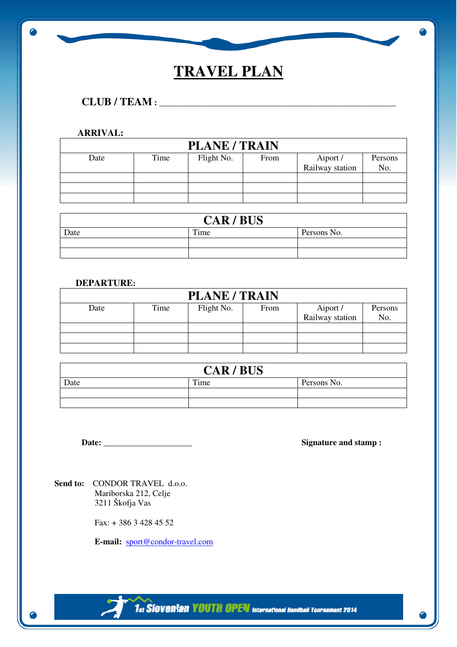## **TRAVEL PLAN**

## **CLUB / TEAM :** \_\_\_\_\_\_\_\_\_\_\_\_\_\_\_\_\_\_\_\_\_\_\_\_\_\_\_\_\_\_\_\_\_\_\_\_\_\_\_\_\_\_\_\_\_\_\_\_\_\_\_\_\_\_\_\_

#### **ARRIVAL:**

 $\bullet$ 

| <b>PLANE / TRAIN</b> |      |            |      |                 |         |
|----------------------|------|------------|------|-----------------|---------|
| Date                 | Time | Flight No. | From | Aiport /        | Persons |
|                      |      |            |      | Railway station | No.     |
|                      |      |            |      |                 |         |
|                      |      |            |      |                 |         |
|                      |      |            |      |                 |         |

| <b>CAR/BUS</b> |      |             |
|----------------|------|-------------|
| Date           | Time | Persons No. |
|                |      |             |
|                |      |             |

#### **DEPARTURE:**

| <b>PLANE / TRAIN</b> |      |            |      |                 |         |
|----------------------|------|------------|------|-----------------|---------|
| Date                 | Time | Flight No. | From | Aiport /        | Persons |
|                      |      |            |      | Railway station | No.     |
|                      |      |            |      |                 |         |
|                      |      |            |      |                 |         |
|                      |      |            |      |                 |         |

| <b>CAR/BUS</b> |      |             |  |
|----------------|------|-------------|--|
| Date           | Time | Persons No. |  |
|                |      |             |  |
|                |      |             |  |

**Date: \_\_\_\_\_\_\_\_\_\_\_\_\_\_\_\_\_\_\_\_\_ Signature and stamp :** 

Send to: CONDOR TRAVEL d.o.o. Mariborska 212, Celje 3211 Škofja Vas

Fax: + 386 3 428 45 52

 **E-mail:** sport@condor-travel.com